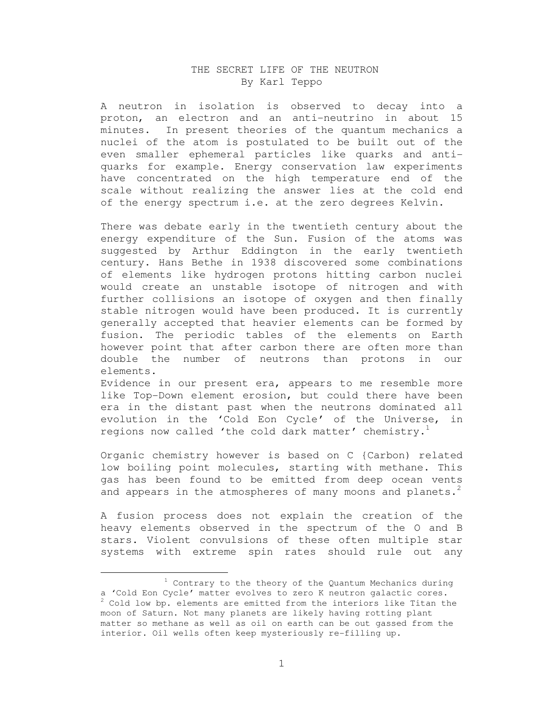## THE SECRET LIFE OF THE NEUTRON By Karl Teppo

A neutron in isolation is observed to decay into a proton, an electron and an anti-neutrino in about 15 minutes. In present theories of the quantum mechanics a nuclei of the atom is postulated to be built out of the even smaller ephemeral particles like quarks and antiquarks for example. Energy conservation law experiments have concentrated on the high temperature end of the scale without realizing the answer lies at the cold end of the energy spectrum i.e. at the zero degrees Kelvin.

There was debate early in the twentieth century about the energy expenditure of the Sun. Fusion of the atoms was suggested by Arthur Eddington in the early twentieth century. Hans Bethe in 1938 discovered some combinations of elements like hydrogen protons hitting carbon nuclei would create an unstable isotope of nitrogen and with further collisions an isotope of oxygen and then finally stable nitrogen would have been produced. It is currently generally accepted that heavier elements can be formed by fusion. The periodic tables of the elements on Earth however point that after carbon there are often more than double the number of neutrons than protons in our elements.

Evidence in our present era, appears to me resemble more like Top-Down element erosion, but could there have been era in the distant past when the neutrons dominated all evolution in the 'Cold Eon Cycle' of the Universe, in regions now called 'the cold dark matter' chemistry.<sup>1</sup>

Organic chemistry however is based on C {Carbon) related low boiling point molecules, starting with methane. This gas has been found to be emitted from deep ocean vents and appears in the atmospheres of many moons and planets.<sup>2</sup>

A fusion process does not explain the creation of the heavy elements observed in the spectrum of the O and B stars. Violent convulsions of these often multiple star systems with extreme spin rates should rule out any

 $1$  Contrary to the theory of the Quantum Mechanics during a 'Cold Eon Cycle' matter evolves to zero K neutron galactic cores.  $2$  Cold low bp. elements are emitted from the interiors like Titan the moon of Saturn. Not many planets are likely having rotting plant matter so methane as well as oil on earth can be out gassed from the interior. Oil wells often keep mysteriously re-filling up.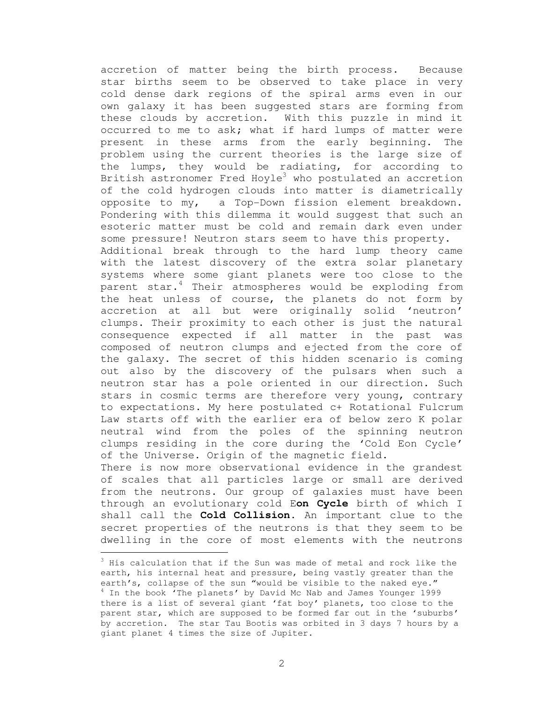accretion of matter being the birth process. Because star births seem to be observed to take place in very cold dense dark regions of the spiral arms even in our own galaxy it has been suggested stars are forming from these clouds by accretion. With this puzzle in mind it occurred to me to ask; what if hard lumps of matter were present in these arms from the early beginning. The problem using the current theories is the large size of the lumps, they would be radiating, for according to British astronomer Fred Hoyle<sup>3</sup> who postulated an accretion of the cold hydrogen clouds into matter is diametrically opposite to my, a Top-Down fission element breakdown. Pondering with this dilemma it would suggest that such an esoteric matter must be cold and remain dark even under some pressure! Neutron stars seem to have this property. Additional break through to the hard lump theory came with the latest discovery of the extra solar planetary systems where some giant planets were too close to the parent star.<sup>4</sup> Their atmospheres would be exploding from the heat unless of course, the planets do not form by accretion at all but were originally solid 'neutron' clumps. Their proximity to each other is just the natural consequence expected if all matter in the past was composed of neutron clumps and ejected from the core of the galaxy. The secret of this hidden scenario is coming out also by the discovery of the pulsars when such a neutron star has a pole oriented in our direction. Such stars in cosmic terms are therefore very young, contrary to expectations. My here postulated c+ Rotational Fulcrum Law starts off with the earlier era of below zero K polar neutral wind from the poles of the spinning neutron clumps residing in the core during the 'Cold Eon Cycle' of the Universe. Origin of the magnetic field. There is now more observational evidence in the grandest of scales that all particles large or small are derived from the neutrons. Our group of galaxies must have been through an evolutionary cold E**on Cycle** birth of which I shall call the **Cold Collision.** An important clue to the secret properties of the neutrons is that they seem to be dwelling in the core of most elements with the neutrons

<sup>&</sup>lt;sup>3</sup> His calculation that if the Sun was made of metal and rock like the earth, his internal heat and pressure, being vastly greater than the earth's, collapse of the sun "would be visible to the naked eye." <sup>4</sup> In the book 'The planets' by David Mc Nab and James Younger 1999 there is a list of several giant 'fat boy' planets, too close to the parent star, which are supposed to be formed far out in the 'suburbs' by accretion. The star Tau Bootis was orbited in 3 days 7 hours by a giant planet 4 times the size of Jupiter.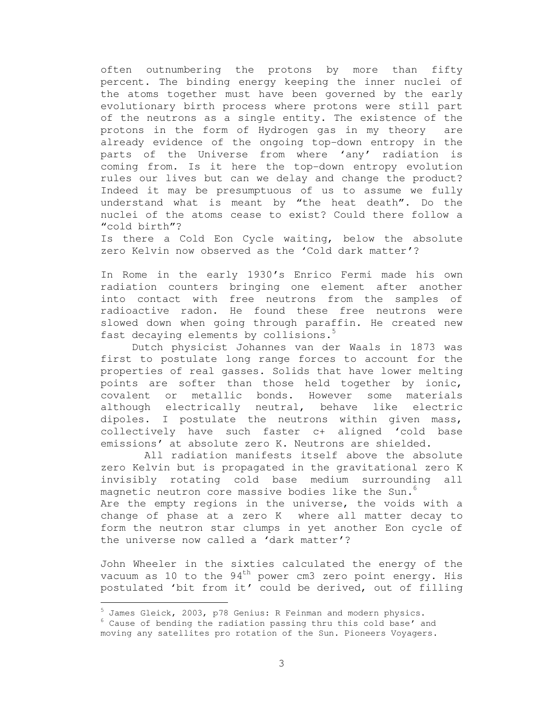often outnumbering the protons by more than fifty percent. The binding energy keeping the inner nuclei of the atoms together must have been governed by the early evolutionary birth process where protons were still part of the neutrons as a single entity. The existence of the protons in the form of Hydrogen gas in my theory are already evidence of the ongoing top-down entropy in the parts of the Universe from where 'any' radiation is coming from. Is it here the top-down entropy evolution rules our lives but can we delay and change the product? Indeed it may be presumptuous of us to assume we fully understand what is meant by "the heat death". Do the nuclei of the atoms cease to exist? Could there follow a "cold birth"?

Is there a Cold Eon Cycle waiting, below the absolute zero Kelvin now observed as the 'Cold dark matter'?

In Rome in the early 1930's Enrico Fermi made his own radiation counters bringing one element after another into contact with free neutrons from the samples of radioactive radon. He found these free neutrons were slowed down when going through paraffin. He created new fast decaying elements by collisions.<sup>5</sup>

 Dutch physicist Johannes van der Waals in 1873 was first to postulate long range forces to account for the properties of real gasses. Solids that have lower melting points are softer than those held together by ionic, covalent or metallic bonds. However some materials although electrically neutral, behave like electric dipoles. I postulate the neutrons within given mass, collectively have such faster c+ aligned 'cold base emissions' at absolute zero K. Neutrons are shielded.

 All radiation manifests itself above the absolute zero Kelvin but is propagated in the gravitational zero K invisibly rotating cold base medium surrounding all magnetic neutron core massive bodies like the Sun.<sup>6</sup> Are the empty regions in the universe, the voids with a change of phase at a zero K where all matter decay to form the neutron star clumps in yet another Eon cycle of the universe now called a 'dark matter'?

John Wheeler in the sixties calculated the energy of the vacuum as 10 to the  $94<sup>th</sup>$  power cm3 zero point energy. His postulated 'bit from it' could be derived, out of filling

<sup>5</sup> James Gleick, 2003, p78 Genius: R Feinman and modern physics.  $6$  Cause of bending the radiation passing thru this cold base' and moving any satellites pro rotation of the Sun. Pioneers Voyagers.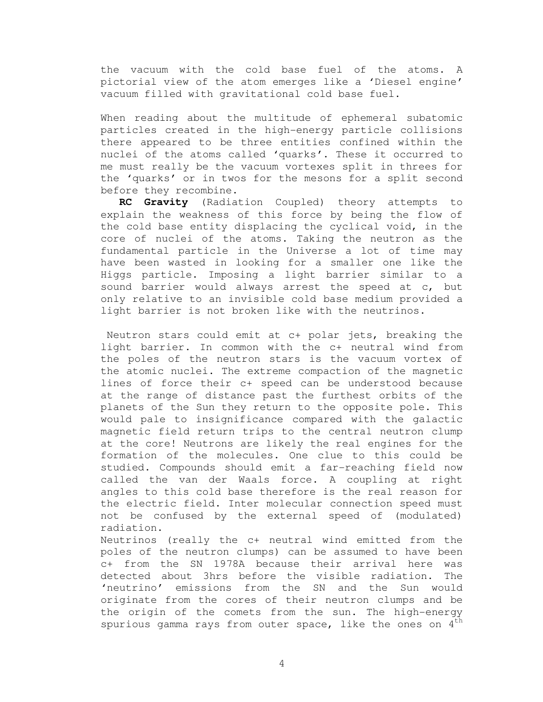the vacuum with the cold base fuel of the atoms. A pictorial view of the atom emerges like a 'Diesel engine' vacuum filled with gravitational cold base fuel.

When reading about the multitude of ephemeral subatomic particles created in the high-energy particle collisions there appeared to be three entities confined within the nuclei of the atoms called 'quarks'. These it occurred to me must really be the vacuum vortexes split in threes for the 'quarks' or in twos for the mesons for a split second before they recombine.

 **RC Gravity** (Radiation Coupled) theory attempts to explain the weakness of this force by being the flow of the cold base entity displacing the cyclical void, in the core of nuclei of the atoms. Taking the neutron as the fundamental particle in the Universe a lot of time may have been wasted in looking for a smaller one like the Higgs particle. Imposing a light barrier similar to a sound barrier would always arrest the speed at c, but only relative to an invisible cold base medium provided a light barrier is not broken like with the neutrinos.

 Neutron stars could emit at c+ polar jets, breaking the light barrier. In common with the c+ neutral wind from the poles of the neutron stars is the vacuum vortex of the atomic nuclei. The extreme compaction of the magnetic lines of force their c+ speed can be understood because at the range of distance past the furthest orbits of the planets of the Sun they return to the opposite pole. This would pale to insignificance compared with the galactic magnetic field return trips to the central neutron clump at the core! Neutrons are likely the real engines for the formation of the molecules. One clue to this could be studied. Compounds should emit a far-reaching field now called the van der Waals force. A coupling at right angles to this cold base therefore is the real reason for the electric field. Inter molecular connection speed must not be confused by the external speed of (modulated) radiation.

Neutrinos (really the c+ neutral wind emitted from the poles of the neutron clumps) can be assumed to have been c+ from the SN 1978A because their arrival here was detected about 3hrs before the visible radiation. The 'neutrino' emissions from the SN and the Sun would originate from the cores of their neutron clumps and be the origin of the comets from the sun. The high-energy spurious gamma rays from outer space, like the ones on  $4<sup>th</sup>$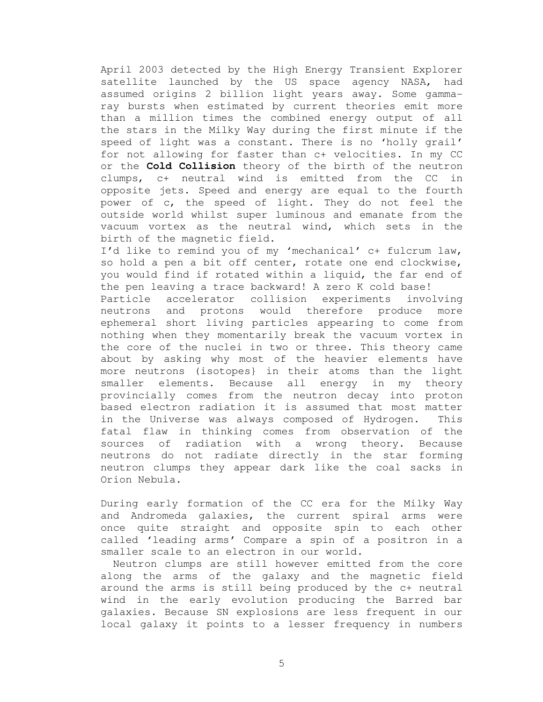April 2003 detected by the High Energy Transient Explorer satellite launched by the US space agency NASA, had assumed origins 2 billion light years away. Some gammaray bursts when estimated by current theories emit more than a million times the combined energy output of all the stars in the Milky Way during the first minute if the speed of light was a constant. There is no 'holly grail' for not allowing for faster than c+ velocities. In my CC or the **Cold Collision** theory of the birth of the neutron clumps, c+ neutral wind is emitted from the CC in opposite jets. Speed and energy are equal to the fourth power of c, the speed of light. They do not feel the outside world whilst super luminous and emanate from the vacuum vortex as the neutral wind, which sets in the birth of the magnetic field.

I'd like to remind you of my 'mechanical' c+ fulcrum law, so hold a pen a bit off center, rotate one end clockwise, you would find if rotated within a liquid, the far end of the pen leaving a trace backward! A zero K cold base! Particle accelerator collision experiments involving neutrons and protons would therefore produce more ephemeral short living particles appearing to come from nothing when they momentarily break the vacuum vortex in the core of the nuclei in two or three. This theory came about by asking why most of the heavier elements have more neutrons (isotopes} in their atoms than the light smaller elements. Because all energy in my theory provincially comes from the neutron decay into proton based electron radiation it is assumed that most matter in the Universe was always composed of Hydrogen. This fatal flaw in thinking comes from observation of the sources of radiation with a wrong theory. Because neutrons do not radiate directly in the star forming neutron clumps they appear dark like the coal sacks in Orion Nebula.

During early formation of the CC era for the Milky Way and Andromeda galaxies, the current spiral arms were once quite straight and opposite spin to each other called 'leading arms' Compare a spin of a positron in a smaller scale to an electron in our world.

 Neutron clumps are still however emitted from the core along the arms of the galaxy and the magnetic field around the arms is still being produced by the c+ neutral wind in the early evolution producing the Barred bar galaxies. Because SN explosions are less frequent in our local galaxy it points to a lesser frequency in numbers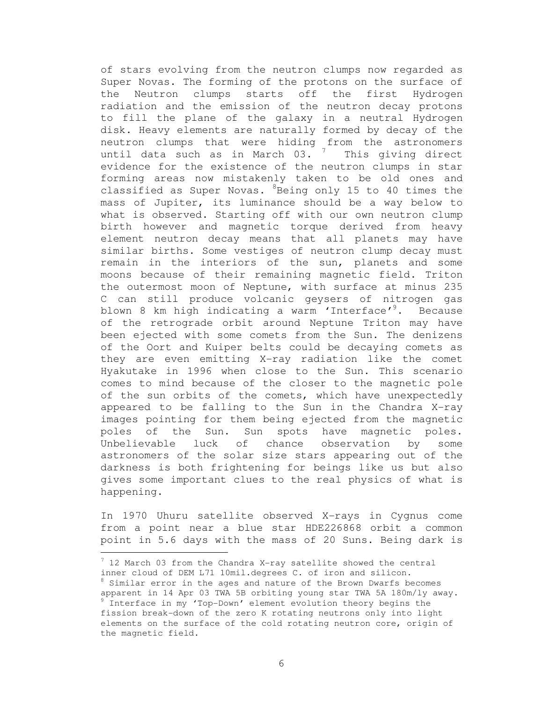of stars evolving from the neutron clumps now regarded as Super Novas. The forming of the protons on the surface of the Neutron clumps starts off the first Hydrogen radiation and the emission of the neutron decay protons to fill the plane of the galaxy in a neutral Hydrogen disk. Heavy elements are naturally formed by decay of the neutron clumps that were hiding from the astronomers until data such as in March  $03.$   $^7$  This giving direct evidence for the existence of the neutron clumps in star forming areas now mistakenly taken to be old ones and classified as Super Novas.  $8\overline{Be}$ ing only 15 to 40 times the mass of Jupiter, its luminance should be a way below to what is observed. Starting off with our own neutron clump birth however and magnetic torque derived from heavy element neutron decay means that all planets may have similar births. Some vestiges of neutron clump decay must remain in the interiors of the sun, planets and some moons because of their remaining magnetic field. Triton the outermost moon of Neptune, with surface at minus 235 C can still produce volcanic geysers of nitrogen gas blown 8 km high indicating a warm 'Interface'<sup>9</sup>. Because of the retrograde orbit around Neptune Triton may have been ejected with some comets from the Sun. The denizens of the Oort and Kuiper belts could be decaying comets as they are even emitting X-ray radiation like the comet Hyakutake in 1996 when close to the Sun. This scenario comes to mind because of the closer to the magnetic pole of the sun orbits of the comets, which have unexpectedly appeared to be falling to the Sun in the Chandra X-ray images pointing for them being ejected from the magnetic poles of the Sun. Sun spots have magnetic poles. Unbelievable luck of chance observation by some astronomers of the solar size stars appearing out of the darkness is both frightening for beings like us but also gives some important clues to the real physics of what is happening.

In 1970 Uhuru satellite observed X-rays in Cygnus come from a point near a blue star HDE226868 orbit a common point in 5.6 days with the mass of 20 Suns. Being dark is

 $7$  12 March 03 from the Chandra X-ray satellite showed the central inner cloud of DEM L71 10mil.degrees C. of iron and silicon.  $8$  Similar error in the ages and nature of the Brown Dwarfs becomes apparent in 14 Apr 03 TWA 5B orbiting young star TWA 5A 180m/ly away. <sup>9</sup> Interface in my 'Top-Down' element evolution theory begins the fission break-down of the zero K rotating neutrons only into light elements on the surface of the cold rotating neutron core, origin of the magnetic field.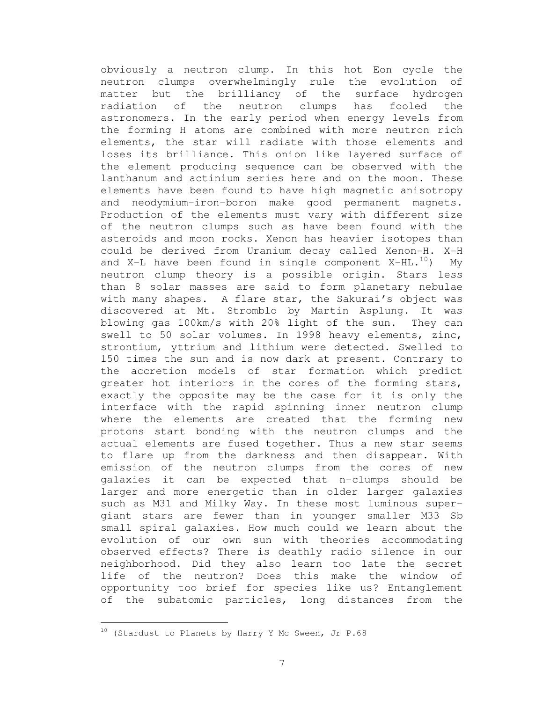obviously a neutron clump. In this hot Eon cycle the neutron clumps overwhelmingly rule the evolution of matter but the brilliancy of the surface hydrogen radiation of the neutron clumps has fooled the astronomers. In the early period when energy levels from the forming H atoms are combined with more neutron rich elements, the star will radiate with those elements and loses its brilliance. This onion like layered surface of the element producing sequence can be observed with the lanthanum and actinium series here and on the moon. These elements have been found to have high magnetic anisotropy and neodymium-iron-boron make good permanent magnets. Production of the elements must vary with different size of the neutron clumps such as have been found with the asteroids and moon rocks. Xenon has heavier isotopes than could be derived from Uranium decay called Xenon-H. X-H and X-L have been found in single component  $X-HL.$ <sup>10</sup>) My neutron clump theory is a possible origin. Stars less than 8 solar masses are said to form planetary nebulae with many shapes. A flare star, the Sakurai's object was discovered at Mt. Stromblo by Martin Asplung. It was blowing gas 100km/s with 20% light of the sun. They can swell to 50 solar volumes. In 1998 heavy elements, zinc, strontium, yttrium and lithium were detected. Swelled to 150 times the sun and is now dark at present. Contrary to the accretion models of star formation which predict greater hot interiors in the cores of the forming stars, exactly the opposite may be the case for it is only the interface with the rapid spinning inner neutron clump where the elements are created that the forming new protons start bonding with the neutron clumps and the actual elements are fused together. Thus a new star seems to flare up from the darkness and then disappear. With emission of the neutron clumps from the cores of new galaxies it can be expected that n-clumps should be larger and more energetic than in older larger galaxies such as M31 and Milky Way. In these most luminous supergiant stars are fewer than in younger smaller M33 Sb small spiral galaxies. How much could we learn about the evolution of our own sun with theories accommodating observed effects? There is deathly radio silence in our neighborhood. Did they also learn too late the secret life of the neutron? Does this make the window of opportunity too brief for species like us? Entanglement of the subatomic particles, long distances from the

 $10$  (Stardust to Planets by Harry Y Mc Sween, Jr P.68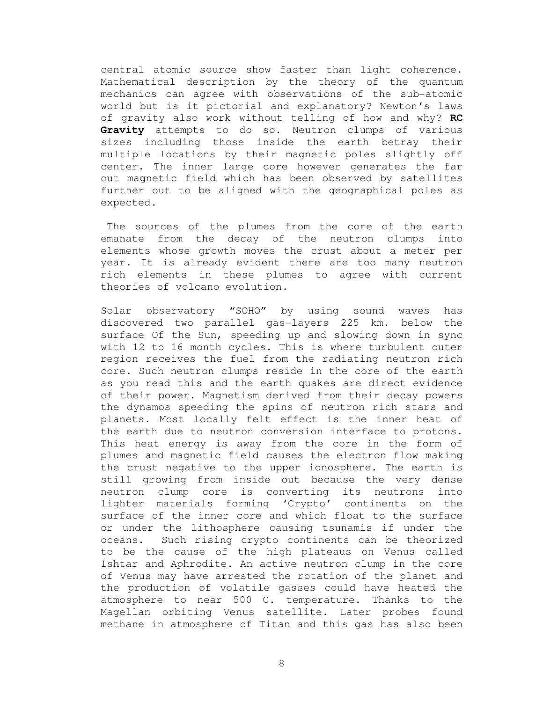central atomic source show faster than light coherence. Mathematical description by the theory of the quantum mechanics can agree with observations of the sub-atomic world but is it pictorial and explanatory? Newton's laws of gravity also work without telling of how and why? **RC Gravity** attempts to do so. Neutron clumps of various sizes including those inside the earth betray their multiple locations by their magnetic poles slightly off center. The inner large core however generates the far out magnetic field which has been observed by satellites further out to be aligned with the geographical poles as expected.

 The sources of the plumes from the core of the earth emanate from the decay of the neutron clumps into elements whose growth moves the crust about a meter per year. It is already evident there are too many neutron rich elements in these plumes to agree with current theories of volcano evolution.

Solar observatory "SOHO" by using sound waves has discovered two parallel gas-layers 225 km. below the surface Of the Sun, speeding up and slowing down in sync with 12 to 16 month cycles. This is where turbulent outer region receives the fuel from the radiating neutron rich core. Such neutron clumps reside in the core of the earth as you read this and the earth quakes are direct evidence of their power. Magnetism derived from their decay powers the dynamos speeding the spins of neutron rich stars and planets. Most locally felt effect is the inner heat of the earth due to neutron conversion interface to protons. This heat energy is away from the core in the form of plumes and magnetic field causes the electron flow making the crust negative to the upper ionosphere. The earth is still growing from inside out because the very dense neutron clump core is converting its neutrons into lighter materials forming 'Crypto' continents on the surface of the inner core and which float to the surface or under the lithosphere causing tsunamis if under the oceans. Such rising crypto continents can be theorized to be the cause of the high plateaus on Venus called Ishtar and Aphrodite. An active neutron clump in the core of Venus may have arrested the rotation of the planet and the production of volatile gasses could have heated the atmosphere to near 500 C. temperature. Thanks to the Magellan orbiting Venus satellite. Later probes found methane in atmosphere of Titan and this gas has also been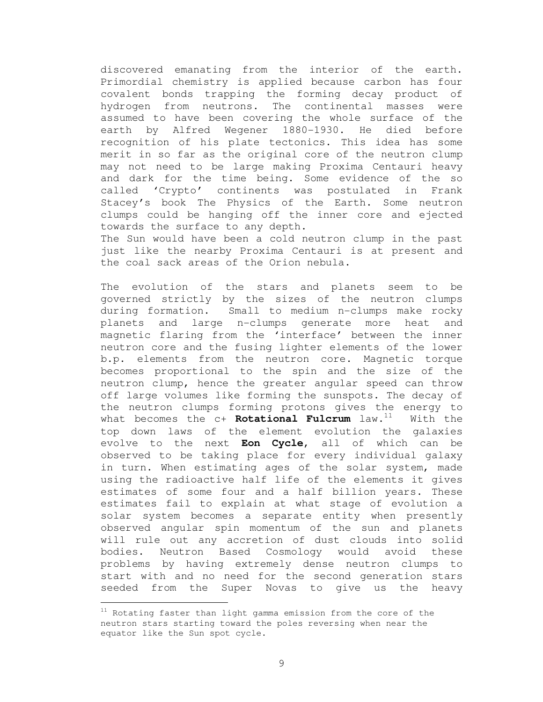discovered emanating from the interior of the earth. Primordial chemistry is applied because carbon has four covalent bonds trapping the forming decay product of hydrogen from neutrons. The continental masses were assumed to have been covering the whole surface of the earth by Alfred Wegener 1880-1930. He died before recognition of his plate tectonics. This idea has some merit in so far as the original core of the neutron clump may not need to be large making Proxima Centauri heavy and dark for the time being. Some evidence of the so called 'Crypto' continents was postulated in Frank Stacey's book The Physics of the Earth. Some neutron clumps could be hanging off the inner core and ejected towards the surface to any depth.

The Sun would have been a cold neutron clump in the past just like the nearby Proxima Centauri is at present and the coal sack areas of the Orion nebula.

The evolution of the stars and planets seem to be governed strictly by the sizes of the neutron clumps during formation. Small to medium n-clumps make rocky planets and large n-clumps generate more heat and magnetic flaring from the 'interface' between the inner neutron core and the fusing lighter elements of the lower b.p. elements from the neutron core. Magnetic torque becomes proportional to the spin and the size of the neutron clump, hence the greater angular speed can throw off large volumes like forming the sunspots. The decay of the neutron clumps forming protons gives the energy to what becomes the c+ **Rotational Fulcrum** law.<sup>11</sup> With the top down laws of the element evolution the galaxies evolve to the next **Eon Cycle,** all of which can be observed to be taking place for every individual galaxy in turn. When estimating ages of the solar system, made using the radioactive half life of the elements it gives estimates of some four and a half billion years. These estimates fail to explain at what stage of evolution a solar system becomes a separate entity when presently observed angular spin momentum of the sun and planets will rule out any accretion of dust clouds into solid bodies. Neutron Based Cosmology would avoid these problems by having extremely dense neutron clumps to start with and no need for the second generation stars seeded from the Super Novas to give us the heavy

<sup>&</sup>lt;sup>11</sup> Rotating faster than light gamma emission from the core of the neutron stars starting toward the poles reversing when near the equator like the Sun spot cycle.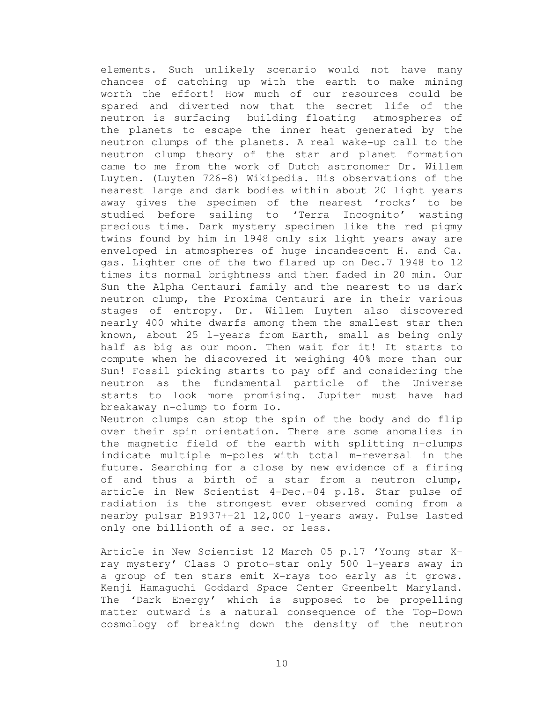elements. Such unlikely scenario would not have many chances of catching up with the earth to make mining worth the effort! How much of our resources could be spared and diverted now that the secret life of the neutron is surfacing building floating atmospheres of the planets to escape the inner heat generated by the neutron clumps of the planets. A real wake-up call to the neutron clump theory of the star and planet formation came to me from the work of Dutch astronomer Dr. Willem Luyten. (Luyten 726-8) Wikipedia. His observations of the nearest large and dark bodies within about 20 light years away gives the specimen of the nearest 'rocks' to be studied before sailing to 'Terra Incognito' wasting precious time. Dark mystery specimen like the red pigmy twins found by him in 1948 only six light years away are enveloped in atmospheres of huge incandescent H. and Ca. gas. Lighter one of the two flared up on Dec.7 1948 to 12 times its normal brightness and then faded in 20 min. Our Sun the Alpha Centauri family and the nearest to us dark neutron clump, the Proxima Centauri are in their various stages of entropy. Dr. Willem Luyten also discovered nearly 400 white dwarfs among them the smallest star then known, about 25 l-years from Earth, small as being only half as big as our moon. Then wait for it! It starts to compute when he discovered it weighing 40% more than our Sun! Fossil picking starts to pay off and considering the neutron as the fundamental particle of the Universe starts to look more promising. Jupiter must have had breakaway n-clump to form Io.

Neutron clumps can stop the spin of the body and do flip over their spin orientation. There are some anomalies in the magnetic field of the earth with splitting n-clumps indicate multiple m-poles with total m-reversal in the future. Searching for a close by new evidence of a firing of and thus a birth of a star from a neutron clump, article in New Scientist 4-Dec.-04 p.18. Star pulse of radiation is the strongest ever observed coming from a nearby pulsar B1937+-21 12,000 l-years away. Pulse lasted only one billionth of a sec. or less.

Article in New Scientist 12 March 05 p.17 'Young star Xray mystery' Class O proto-star only 500 l-years away in a group of ten stars emit X-rays too early as it grows. Kenji Hamaguchi Goddard Space Center Greenbelt Maryland. The 'Dark Energy' which is supposed to be propelling matter outward is a natural consequence of the Top-Down cosmology of breaking down the density of the neutron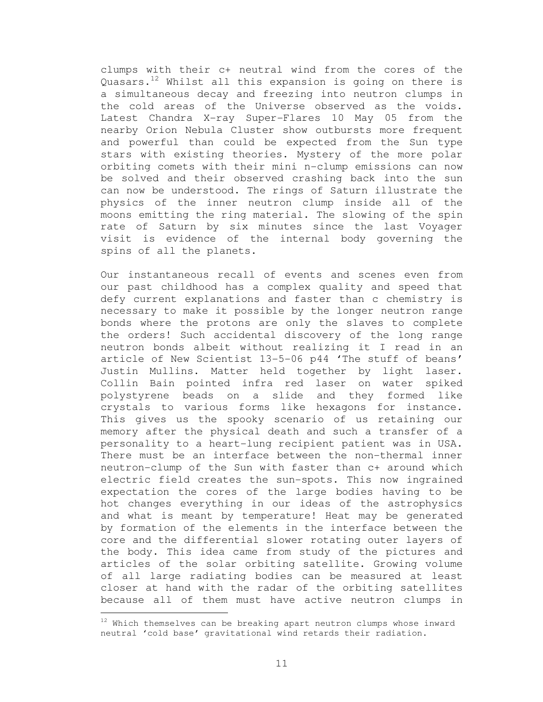clumps with their c+ neutral wind from the cores of the Quasars.<sup>12</sup> Whilst all this expansion is going on there is a simultaneous decay and freezing into neutron clumps in the cold areas of the Universe observed as the voids. Latest Chandra X-ray Super-Flares 10 May 05 from the nearby Orion Nebula Cluster show outbursts more frequent and powerful than could be expected from the Sun type stars with existing theories. Mystery of the more polar orbiting comets with their mini n-clump emissions can now be solved and their observed crashing back into the sun can now be understood. The rings of Saturn illustrate the physics of the inner neutron clump inside all of the moons emitting the ring material. The slowing of the spin rate of Saturn by six minutes since the last Voyager visit is evidence of the internal body governing the spins of all the planets.

Our instantaneous recall of events and scenes even from our past childhood has a complex quality and speed that defy current explanations and faster than c chemistry is necessary to make it possible by the longer neutron range bonds where the protons are only the slaves to complete the orders! Such accidental discovery of the long range neutron bonds albeit without realizing it I read in an article of New Scientist 13-5-06 p44 'The stuff of beans' Justin Mullins. Matter held together by light laser. Collin Bain pointed infra red laser on water spiked polystyrene beads on a slide and they formed like crystals to various forms like hexagons for instance. This gives us the spooky scenario of us retaining our memory after the physical death and such a transfer of a personality to a heart-lung recipient patient was in USA. There must be an interface between the non-thermal inner neutron-clump of the Sun with faster than c+ around which electric field creates the sun-spots. This now ingrained expectation the cores of the large bodies having to be hot changes everything in our ideas of the astrophysics and what is meant by temperature! Heat may be generated by formation of the elements in the interface between the core and the differential slower rotating outer layers of the body. This idea came from study of the pictures and articles of the solar orbiting satellite. Growing volume of all large radiating bodies can be measured at least closer at hand with the radar of the orbiting satellites because all of them must have active neutron clumps in

 $12$  Which themselves can be breaking apart neutron clumps whose inward neutral 'cold base' gravitational wind retards their radiation.